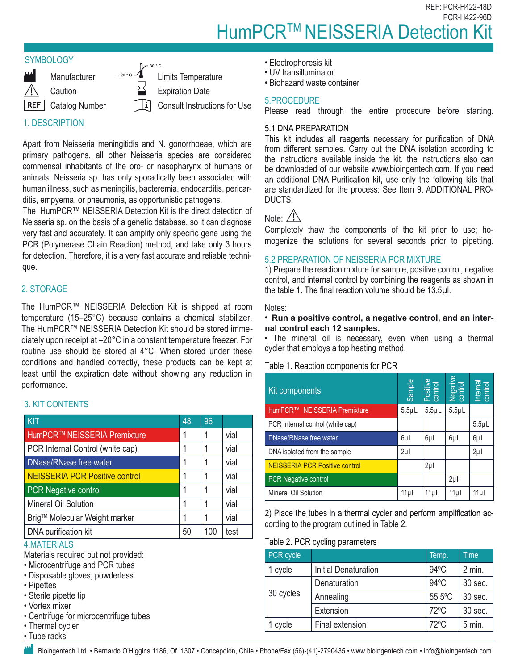REF: PCR-H422-48D PCR-H422-96D

HumPCR<sup>™</sup> NEISSERIA Detection **K** 

#### **SYMBOLOGY**



**Caution** 

REF | Catalog Number  $e^{-20^\circ c}$   $\sum$ <sup>30°</sup><sup>c</sup> Limits Temperature Expiration Date

Consult Instructions for Use

# 1. DESCRIPTION

Apart from Neisseria meningitidis and N. gonorrhoeae, which are primary pathogens, all other Neisseria species are considered commensal inhabitants of the oro- or nasopharynx of humans or animals. Neisseria sp. has only sporadically been associated with human illness, such as meningitis, bacteremia, endocarditis, pericarditis, empyema, or pneumonia, as opportunistic pathogens.

The HumPCR™ NEISSERIA Detection Kit is the direct detection of Neisseria sp. on the basis of a genetic database, so it can diagnose very fast and accurately. It can amplify only specific gene using the PCR (Polymerase Chain Reaction) method, and take only 3 hours for detection. Therefore, it is a very fast accurate and reliable technique.

# 2. STORAGE

The HumPCR™ NEISSERIA Detection Kit is shipped at room temperature (15–25°C) because contains a chemical stabilizer. The HumPCR™ NEISSERIA Detection Kit should be stored immediately upon receipt at –20°C in a constant temperature freezer. For routine use should be stored al 4°C. When stored under these conditions and handled correctly, these products can be kept at least until the expiration date without showing any reduction in performance.

# 3. KIT CONTENTS

| <b>KIT</b>                            | 48 | 96  |      |
|---------------------------------------|----|-----|------|
| HumPCR™ NEISSERIA Premixture          | 1  |     | vial |
| PCR Internal Control (white cap)      | 1  |     | vial |
| DNase/RNase free water                | 1  |     | vial |
| <b>NEISSERIA PCR Positive control</b> | 1  |     | vial |
| <b>PCR</b> Negative control           |    |     | vial |
| Mineral Oil Solution                  | 1  |     | vial |
| Brig™ Molecular Weight marker         |    |     | vial |
| DNA purification kit                  | 50 | 100 | test |

# 4.MATERIALS

Materials required but not provided:

- Microcentrifuge and PCR tubes
- Disposable gloves, powderless
- Pipettes
- Sterile pipette tip
- Vortex mixer
- Centrifuge for microcentrifuge tubes
- Thermal cycler • Tube racks
- Electrophoresis kit
- UV transilluminator
- Biohazard waste container

### 5.PROCEDURE

Please read through the entire procedure before starting.

### 5.1 DNA PREPARATION

This kit includes all reagents necessary for purification of DNA from different samples. Carry out the DNA isolation according to the instructions available inside the kit, the instructions also can be downloaded of our website www.bioingentech.com. If you need an additional DNA Purification kit, use only the following kits that are standardized for the process: See Item 9. ADDITIONAL PRO-DUCTS.

# Note:  $\angle \setminus$

Completely thaw the components of the kit prior to use; homogenize the solutions for several seconds prior to pipetting.

### 5.2 PREPARATION OF NEISSERIA PCR MIXTURE

1) Prepare the reaction mixture for sample, positive control, negative control, and internal control by combining the reagents as shown in the table 1. The final reaction volume should be 13.5µl.

### Notes:

### • **Run a positive control, a negative control, and an internal control each 12 samples.**

• The mineral oil is necessary, even when using a thermal cycler that employs a top heating method.

### Table 1. Reaction components for PCR

| Kit components                        | Sample     | Positive<br>control | Negative<br>control | Internal<br>control |
|---------------------------------------|------------|---------------------|---------------------|---------------------|
| HumPCR™ NEISSERIA Premixture          | $5.5\mu L$ | $5.5 \mu L$         | $5.5\mu L$          |                     |
| PCR Internal control (white cap)      |            |                     |                     | $5.5\mu L$          |
| DNase/RNase free water                | 6µl        | 6µl                 | 6µl                 | 6µl                 |
| DNA isolated from the sample          | $2\mu$     |                     |                     | $2\mu$              |
| <b>NEISSERIA PCR Positive control</b> |            | $2\mu$              |                     |                     |
| <b>PCR Negative control</b>           |            |                     | $2\mu$              |                     |
| Mineral Oil Solution                  | $11\mu$    | 11µ                 | 11 <sub>µ</sub>     | 11 <sub>µ</sub>     |

2) Place the tubes in a thermal cycler and perform amplification according to the program outlined in Table 2.

|  |  |  | Table 2. PCR cycling parameters |
|--|--|--|---------------------------------|
|--|--|--|---------------------------------|

| PCR cycle |                             | Temp.          | <b>Time</b> |
|-----------|-----------------------------|----------------|-------------|
| 1 cycle   | <b>Initial Denaturation</b> | $94^{\circ}$ C | $2$ min.    |
| 30 cycles | Denaturation                | $94^{\circ}$ C | 30 sec.     |
|           | Annealing                   | 55,5°C         | 30 sec.     |
|           | Extension                   | $72^{\circ}$ C | 30 sec.     |
| 1 cycle   | Final extension             | $72^{\circ}$ C | $5$ min.    |

Bioingentech Ltd. • Bernardo O'Higgins 1186, Of. 1307 • Concepción, Chile • Phone/Fax (56)-(41)-2790435 • www.bioingentech.com • info@bioingentech.com